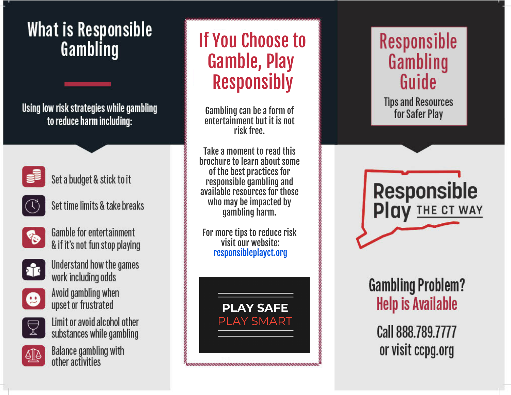## **What is Responsible** Gambling

Using low risk strategies while gambling to reduce harm including:



Set a budget & stick to it



Set time limits & take breaks help patients with any medical illnesses,



 $\blacksquare$ injuries and  $\blacksquare$  $\sum_{k=1}^{\infty}$  valid by the filter tailing fit & if it's not fun stop playing



overburdening primary care providers on stanu nov



Avoid gambling when upset or frustrated



Limit or avoid alcohol other substances while gambling



Balance gambling with other activities

# Gamble, Play If You Choose to Responsibly

We're accepting new patients! Gambling can be a form of entertainment but it is not risk free.

who may be impacted by Take a moment to read this brochure to learn about some of the best practices for responsible gambling and available resources for those gambling harm.

responsibleplayct.org For more tips to reduce risk visit our website:

> AY 5A **PLAY SMART**

3300 Denison Drive

9:00AM-6:00PM

### **Responsible** Gambling Guide

**Tips and Resources** for Safer Play



How to avoid salmonella, ına Prohlei **Help is Available** 

Call 888.789.7777 or visit ccpg.org  $\mathbf{y}$  in the city Health Clinical Clinical Clinical Clinical Clinical Clinical Clinical Clinical Clinical Clinical Clinical Clinical Clinical Clinical Clinical Clinical Clinical Clinical Clinical Clinical Clinical Clin